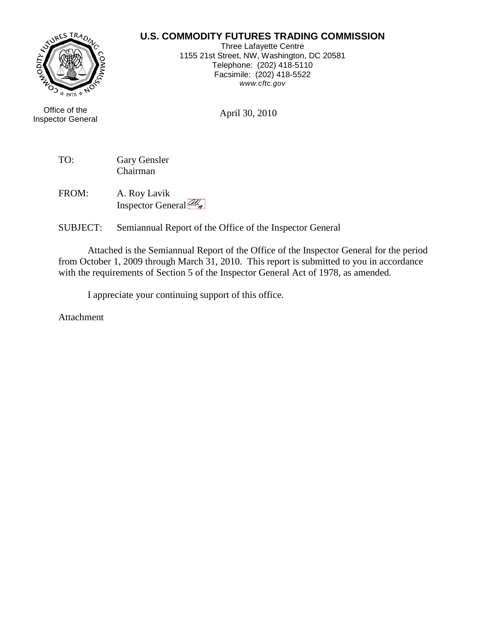## **U.S. COMMODITY FUTURES TRADING COMMISSION**



Office of the April 30, 2010 Inspector General

Three Lafayette Centre 1155 21st Street, NW, Washington, DC 20581 Telephone: (202) 418-5110 Facsimile: (202) 418-5522 *www.cftc.gov*

TO: Gary Gensler Chairman

FROM: A. Roy Lavik Inspector General All

SUBJECT: Semiannual Report of the Office of the Inspector General

Attached is the Semiannual Report of the Office of the Inspector General for the period from October 1, 2009 through March 31, 2010. This report is submitted to you in accordance with the requirements of Section 5 of the Inspector General Act of 1978, as amended.

I appreciate your continuing support of this office.

Attachment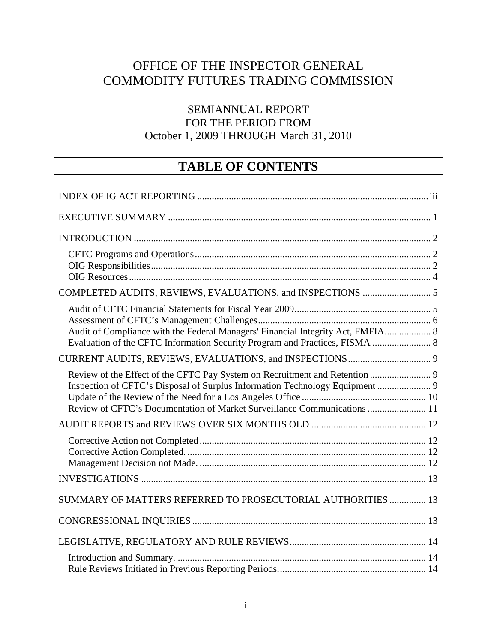# OFFICE OF THE INSPECTOR GENERAL COMMODITY FUTURES TRADING COMMISSION

# SEMIANNUAL REPORT FOR THE PERIOD FROM October 1, 2009 THROUGH March 31, 2010

# **TABLE OF CONTENTS**

| Audit of Compliance with the Federal Managers' Financial Integrity Act, FMFIA 8<br>Evaluation of the CFTC Information Security Program and Practices, FISMA  8                                                                          |  |
|-----------------------------------------------------------------------------------------------------------------------------------------------------------------------------------------------------------------------------------------|--|
|                                                                                                                                                                                                                                         |  |
| Review of the Effect of the CFTC Pay System on Recruitment and Retention  9<br>Inspection of CFTC's Disposal of Surplus Information Technology Equipment  9<br>Review of CFTC's Documentation of Market Surveillance Communications  11 |  |
|                                                                                                                                                                                                                                         |  |
|                                                                                                                                                                                                                                         |  |
|                                                                                                                                                                                                                                         |  |
| SUMMARY OF MATTERS REFERRED TO PROSECUTORIAL AUTHORITIES  13                                                                                                                                                                            |  |
|                                                                                                                                                                                                                                         |  |
|                                                                                                                                                                                                                                         |  |
|                                                                                                                                                                                                                                         |  |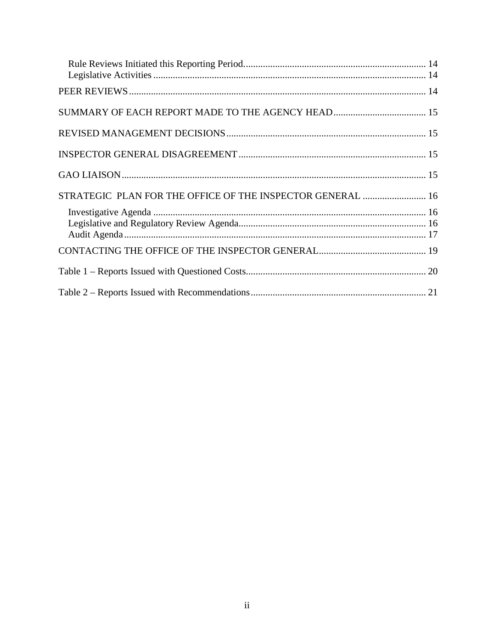| STRATEGIC PLAN FOR THE OFFICE OF THE INSPECTOR GENERAL  16 |  |
|------------------------------------------------------------|--|
|                                                            |  |
|                                                            |  |
|                                                            |  |
|                                                            |  |
|                                                            |  |
|                                                            |  |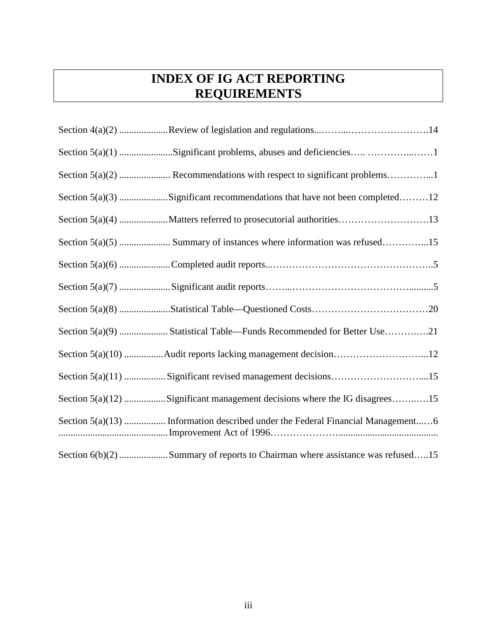# <span id="page-3-0"></span>**INDEX OF IG ACT REPORTING REQUIREMENTS**

| Section 5(a)(1) Significant problems, abuses and deficiencies 1                 |
|---------------------------------------------------------------------------------|
|                                                                                 |
| Section 5(a)(3) Significant recommendations that have not been completed12      |
|                                                                                 |
|                                                                                 |
|                                                                                 |
|                                                                                 |
|                                                                                 |
|                                                                                 |
| Section 5(a)(10) Audit reports lacking management decision12                    |
| Section 5(a)(11)  Significant revised management decisions15                    |
| Section 5(a)(12) Significant management decisions where the IG disagrees15      |
| Section 5(a)(13)  Information described under the Federal Financial Management6 |
| Section 6(b)(2) Summary of reports to Chairman where assistance was refused15   |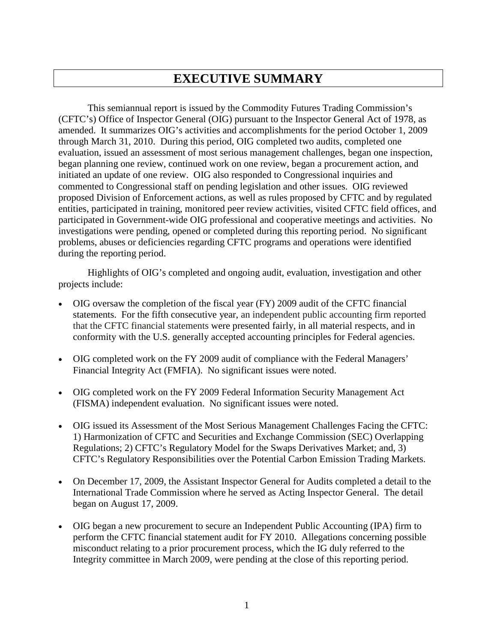# <span id="page-4-0"></span>**EXECUTIVE SUMMARY**

This semiannual report is issued by the Commodity Futures Trading Commission's (CFTC's) Office of Inspector General (OIG) pursuant to the Inspector General Act of 1978, as amended. It summarizes OIG's activities and accomplishments for the period October 1, 2009 through March 31, 2010. During this period, OIG completed two audits, completed one evaluation, issued an assessment of most serious management challenges, began one inspection, began planning one review, continued work on one review, began a procurement action, and initiated an update of one review. OIG also responded to Congressional inquiries and commented to Congressional staff on pending legislation and other issues. OIG reviewed proposed Division of Enforcement actions, as well as rules proposed by CFTC and by regulated entities, participated in training, monitored peer review activities, visited CFTC field offices, and participated in Government-wide OIG professional and cooperative meetings and activities. No investigations were pending, opened or completed during this reporting period. No significant problems, abuses or deficiencies regarding CFTC programs and operations were identified during the reporting period.

Highlights of OIG's completed and ongoing audit, evaluation, investigation and other projects include:

- OIG oversaw the completion of the fiscal year (FY) 2009 audit of the CFTC financial statements. For the fifth consecutive year, an independent public accounting firm reported that the CFTC financial statements were presented fairly, in all material respects, and in conformity with the U.S. generally accepted accounting principles for Federal agencies.
- OIG completed work on the FY 2009 audit of compliance with the Federal Managers' Financial Integrity Act (FMFIA). No significant issues were noted.
- OIG completed work on the FY 2009 Federal Information Security Management Act (FISMA) independent evaluation. No significant issues were noted.
- OIG issued its Assessment of the Most Serious Management Challenges Facing the CFTC: 1) Harmonization of CFTC and Securities and Exchange Commission (SEC) Overlapping Regulations; 2) CFTC's Regulatory Model for the Swaps Derivatives Market; and, 3) CFTC's Regulatory Responsibilities over the Potential Carbon Emission Trading Markets.
- On December 17, 2009, the Assistant Inspector General for Audits completed a detail to the International Trade Commission where he served as Acting Inspector General. The detail began on August 17, 2009.
- OIG began a new procurement to secure an Independent Public Accounting (IPA) firm to perform the CFTC financial statement audit for FY 2010. Allegations concerning possible misconduct relating to a prior procurement process, which the IG duly referred to the Integrity committee in March 2009, were pending at the close of this reporting period.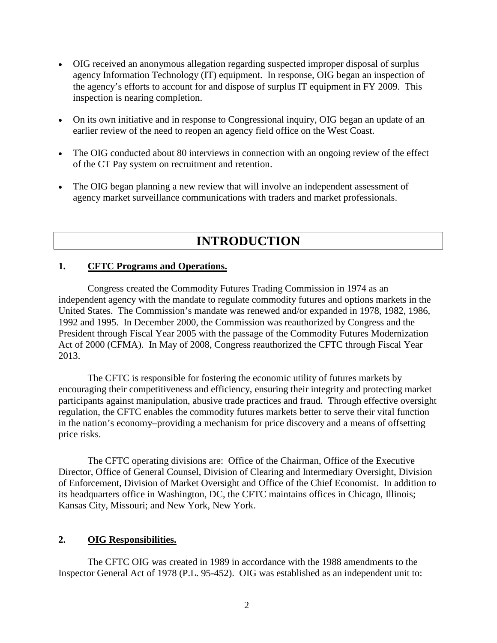- OIG received an anonymous allegation regarding suspected improper disposal of surplus agency Information Technology (IT) equipment. In response, OIG began an inspection of the agency's efforts to account for and dispose of surplus IT equipment in FY 2009. This inspection is nearing completion.
- On its own initiative and in response to Congressional inquiry, OIG began an update of an earlier review of the need to reopen an agency field office on the West Coast.
- The OIG conducted about 80 interviews in connection with an ongoing review of the effect of the CT Pay system on recruitment and retention.
- The OIG began planning a new review that will involve an independent assessment of agency market surveillance communications with traders and market professionals.

# <span id="page-5-1"></span><span id="page-5-0"></span>**INTRODUCTION**

### **1. CFTC Programs and Operations.**

Congress created the Commodity Futures Trading Commission in 1974 as an independent agency with the mandate to regulate commodity futures and options markets in the United States. The Commission's mandate was renewed and/or expanded in 1978, 1982, 1986, 1992 and 1995. In December 2000, the Commission was reauthorized by Congress and the President through Fiscal Year 2005 with the passage of the Commodity Futures Modernization Act of 2000 (CFMA). In May of 2008, Congress reauthorized the CFTC through Fiscal Year 2013.

The CFTC is responsible for fostering the economic utility of futures markets by encouraging their competitiveness and efficiency, ensuring their integrity and protecting market participants against manipulation, abusive trade practices and fraud. Through effective oversight regulation, the CFTC enables the commodity futures markets better to serve their vital function in the nation's economy–providing a mechanism for price discovery and a means of offsetting price risks.

The CFTC operating divisions are: Office of the Chairman, Office of the Executive Director, Office of General Counsel, Division of Clearing and Intermediary Oversight, Division of Enforcement, Division of Market Oversight and Office of the Chief Economist. In addition to its headquarters office in Washington, DC, the CFTC maintains offices in Chicago, Illinois; Kansas City, Missouri; and New York, New York.

## <span id="page-5-2"></span>**2. OIG Responsibilities.**

The CFTC OIG was created in 1989 in accordance with the 1988 amendments to the Inspector General Act of 1978 (P.L. 95-452). OIG was established as an independent unit to: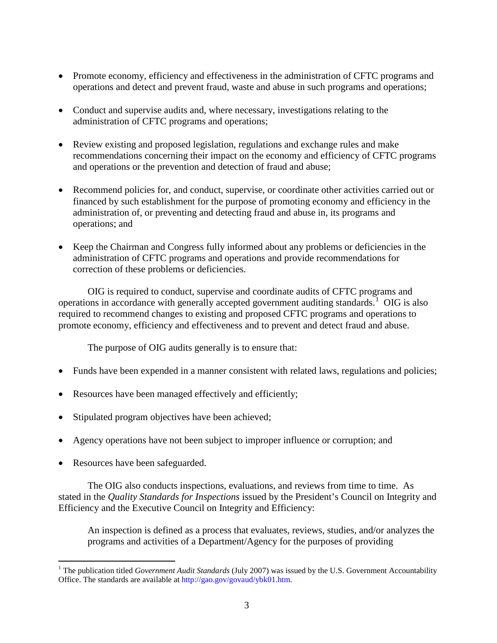- Promote economy, efficiency and effectiveness in the administration of CFTC programs and operations and detect and prevent fraud, waste and abuse in such programs and operations;
- Conduct and supervise audits and, where necessary, investigations relating to the administration of CFTC programs and operations;
- Review existing and proposed legislation, regulations and exchange rules and make recommendations concerning their impact on the economy and efficiency of CFTC programs and operations or the prevention and detection of fraud and abuse;
- Recommend policies for, and conduct, supervise, or coordinate other activities carried out or financed by such establishment for the purpose of promoting economy and efficiency in the administration of, or preventing and detecting fraud and abuse in, its programs and operations; and
- Keep the Chairman and Congress fully informed about any problems or deficiencies in the administration of CFTC programs and operations and provide recommendations for correction of these problems or deficiencies.

OIG is required to conduct, supervise and coordinate audits of CFTC programs and operations in accordance with generally accepted government auditing standards.<sup>[1](#page-6-0)</sup> OIG is also required to recommend changes to existing and proposed CFTC programs and operations to promote economy, efficiency and effectiveness and to prevent and detect fraud and abuse.

The purpose of OIG audits generally is to ensure that:

- Funds have been expended in a manner consistent with related laws, regulations and policies;
- Resources have been managed effectively and efficiently;
- Stipulated program objectives have been achieved;
- Agency operations have not been subject to improper influence or corruption; and
- Resources have been safeguarded.

The OIG also conducts inspections, evaluations, and reviews from time to time. As stated in the *Quality Standards for Inspections* issued by the President's Council on Integrity and Efficiency and the Executive Council on Integrity and Efficiency:

An inspection is defined as a process that evaluates, reviews, studies, and/or analyzes the programs and activities of a Department/Agency for the purposes of providing

<span id="page-6-0"></span> <sup>1</sup> The publication titled *Government Audit Standards* (July 2007) was issued by the U.S. Government Accountability Office. The standards are available at http://gao.gov/govaud/ybk01.htm.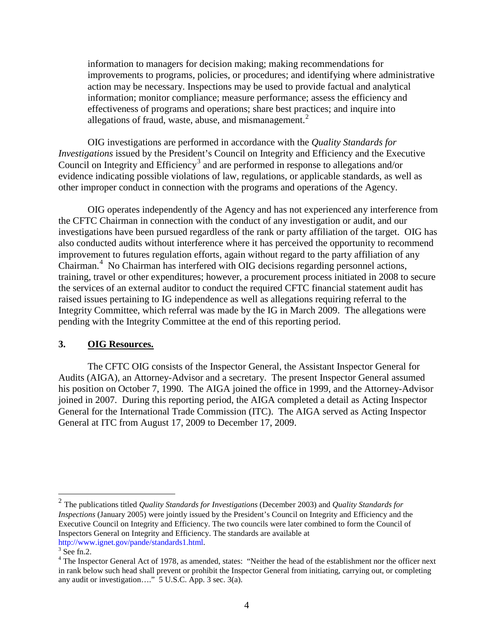information to managers for decision making; making recommendations for improvements to programs, policies, or procedures; and identifying where administrative action may be necessary. Inspections may be used to provide factual and analytical information; monitor compliance; measure performance; assess the efficiency and effectiveness of programs and operations; share best practices; and inquire into allegations of fraud, waste, abuse, and mismanagement. $<sup>2</sup>$  $<sup>2</sup>$  $<sup>2</sup>$ </sup>

OIG investigations are performed in accordance with the *Quality Standards for Investigations* issued by the President's Council on Integrity and Efficiency and the Executive Council on Integrity and Efficiency<sup>[3](#page-7-2)</sup> and are performed in response to allegations and/or evidence indicating possible violations of law, regulations, or applicable standards, as well as other improper conduct in connection with the programs and operations of the Agency.

OIG operates independently of the Agency and has not experienced any interference from the CFTC Chairman in connection with the conduct of any investigation or audit, and our investigations have been pursued regardless of the rank or party affiliation of the target. OIG has also conducted audits without interference where it has perceived the opportunity to recommend improvement to futures regulation efforts, again without regard to the party affiliation of any Chairman.<sup>[4](#page-7-3)</sup> No Chairman has interfered with OIG decisions regarding personnel actions, training, travel or other expenditures; however, a procurement process initiated in 2008 to secure the services of an external auditor to conduct the required CFTC financial statement audit has raised issues pertaining to IG independence as well as allegations requiring referral to the Integrity Committee, which referral was made by the IG in March 2009. The allegations were pending with the Integrity Committee at the end of this reporting period.

#### <span id="page-7-0"></span>**3. OIG Resources.**

The CFTC OIG consists of the Inspector General, the Assistant Inspector General for Audits (AIGA), an Attorney-Advisor and a secretary. The present Inspector General assumed his position on October 7, 1990. The AIGA joined the office in 1999, and the Attorney-Advisor joined in 2007. During this reporting period, the AIGA completed a detail as Acting Inspector General for the International Trade Commission (ITC). The AIGA served as Acting Inspector General at ITC from August 17, 2009 to December 17, 2009.

<span id="page-7-1"></span> <sup>2</sup> The publications titled *Quality Standards for Investigations* (December 2003) and *Quality Standards for Inspections* (January 2005) were jointly issued by the President's Council on Integrity and Efficiency and the Executive Council on Integrity and Efficiency. The two councils were later combined to form the Council of Inspectors General on Integrity and Efficiency. The standards are available at http://www.ignet.gov/pande/standards1.html.<br><sup>3</sup> See fn.2.

<span id="page-7-3"></span><span id="page-7-2"></span><sup>&</sup>lt;sup>4</sup> The Inspector General Act of 1978, as amended, states: "Neither the head of the establishment nor the officer next in rank below such head shall prevent or prohibit the Inspector General from initiating, carrying out, or completing any audit or investigation…." 5 U.S.C. App. 3 sec. 3(a).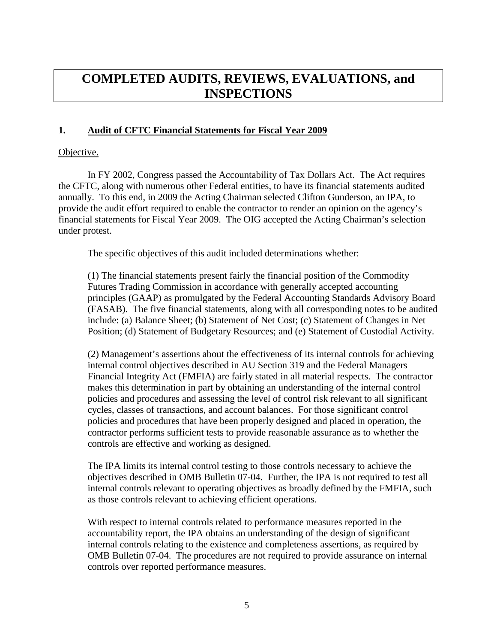# <span id="page-8-1"></span><span id="page-8-0"></span>**COMPLETED AUDITS, REVIEWS, EVALUATIONS, and INSPECTIONS**

### **1. Audit of CFTC Financial Statements for Fiscal Year 2009**

### Objective.

In FY 2002, Congress passed the Accountability of Tax Dollars Act. The Act requires the CFTC, along with numerous other Federal entities, to have its financial statements audited annually. To this end, in 2009 the Acting Chairman selected Clifton Gunderson, an IPA, to provide the audit effort required to enable the contractor to render an opinion on the agency's financial statements for Fiscal Year 2009. The OIG accepted the Acting Chairman's selection under protest.

The specific objectives of this audit included determinations whether:

(1) The financial statements present fairly the financial position of the Commodity Futures Trading Commission in accordance with generally accepted accounting principles (GAAP) as promulgated by the Federal Accounting Standards Advisory Board (FASAB). The five financial statements, along with all corresponding notes to be audited include: (a) Balance Sheet; (b) Statement of Net Cost; (c) Statement of Changes in Net Position; (d) Statement of Budgetary Resources; and (e) Statement of Custodial Activity.

(2) Management's assertions about the effectiveness of its internal controls for achieving internal control objectives described in AU Section 319 and the Federal Managers Financial Integrity Act (FMFIA) are fairly stated in all material respects. The contractor makes this determination in part by obtaining an understanding of the internal control policies and procedures and assessing the level of control risk relevant to all significant cycles, classes of transactions, and account balances. For those significant control policies and procedures that have been properly designed and placed in operation, the contractor performs sufficient tests to provide reasonable assurance as to whether the controls are effective and working as designed.

The IPA limits its internal control testing to those controls necessary to achieve the objectives described in OMB Bulletin 07-04. Further, the IPA is not required to test all internal controls relevant to operating objectives as broadly defined by the FMFIA, such as those controls relevant to achieving efficient operations.

With respect to internal controls related to performance measures reported in the accountability report, the IPA obtains an understanding of the design of significant internal controls relating to the existence and completeness assertions, as required by OMB Bulletin 07-04. The procedures are not required to provide assurance on internal controls over reported performance measures.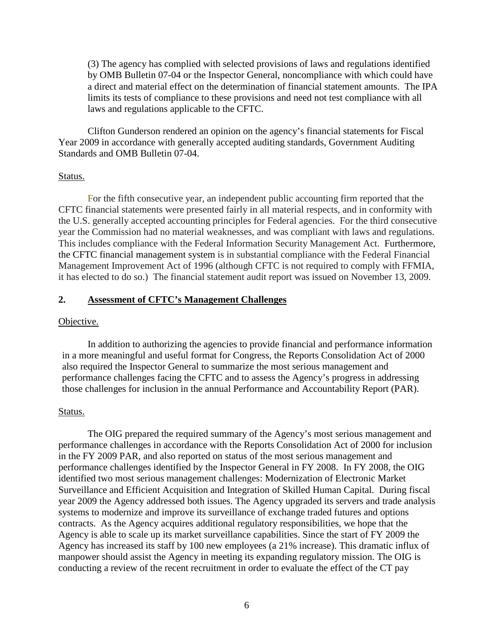(3) The agency has complied with selected provisions of laws and regulations identified by OMB Bulletin 07-04 or the Inspector General, noncompliance with which could have a direct and material effect on the determination of financial statement amounts. The IPA limits its tests of compliance to these provisions and need not test compliance with all laws and regulations applicable to the CFTC.

Clifton Gunderson rendered an opinion on the agency's financial statements for Fiscal Year 2009 in accordance with generally accepted auditing standards, Government Auditing Standards and OMB Bulletin 07-04.

#### Status.

For the fifth consecutive year, an independent public accounting firm reported that the CFTC financial statements were presented fairly in all material respects, and in conformity with the U.S. generally accepted accounting principles for Federal agencies. For the third consecutive year the Commission had no material weaknesses, and was compliant with laws and regulations. This includes compliance with the Federal Information Security Management Act. Furthermore, the CFTC financial management system is in substantial compliance with the Federal Financial Management Improvement Act of 1996 (although CFTC is not required to comply with FFMIA, it has elected to do so.) The financial statement audit report was issued on November 13, 2009.

### <span id="page-9-0"></span>**2. Assessment of CFTC's Management Challenges**

#### Objective.

In addition to authorizing the agencies to provide financial and performance information in a more meaningful and useful format for Congress, the Reports Consolidation Act of 2000 also required the Inspector General to summarize the most serious management and performance challenges facing the CFTC and to assess the Agency's progress in addressing those challenges for inclusion in the annual Performance and Accountability Report (PAR).

#### Status.

The OIG prepared the required summary of the Agency's most serious management and performance challenges in accordance with the Reports Consolidation Act of 2000 for inclusion in the FY 2009 PAR, and also reported on status of the most serious management and performance challenges identified by the Inspector General in FY 2008. In FY 2008, the OIG identified two most serious management challenges: Modernization of Electronic Market Surveillance and Efficient Acquisition and Integration of Skilled Human Capital. During fiscal year 2009 the Agency addressed both issues. The Agency upgraded its servers and trade analysis systems to modernize and improve its surveillance of exchange traded futures and options contracts. As the Agency acquires additional regulatory responsibilities, we hope that the Agency is able to scale up its market surveillance capabilities. Since the start of FY 2009 the Agency has increased its staff by 100 new employees (a 21% increase). This dramatic influx of manpower should assist the Agency in meeting its expanding regulatory mission. The OIG is conducting a review of the recent recruitment in order to evaluate the effect of the CT pay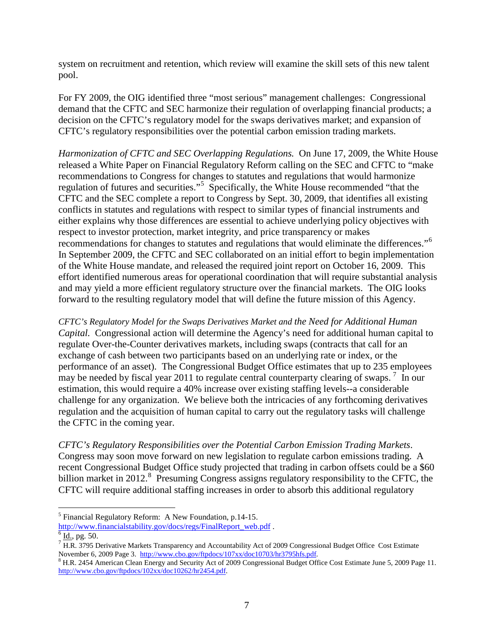system on recruitment and retention, which review will examine the skill sets of this new talent pool.

For FY 2009, the OIG identified three "most serious" management challenges: Congressional demand that the CFTC and SEC harmonize their regulation of overlapping financial products; a decision on the CFTC's regulatory model for the swaps derivatives market; and expansion of CFTC's regulatory responsibilities over the potential carbon emission trading markets.

*Harmonization of CFTC and SEC Overlapping Regulations.* On June 17, 2009, the White House released a White Paper on Financial Regulatory Reform calling on the SEC and CFTC to "make recommendations to Congress for changes to statutes and regulations that would harmonize regulation of futures and securities."<sup>[5](#page-10-0)</sup> Specifically, the White House recommended "that the CFTC and the SEC complete a report to Congress by Sept. 30, 2009, that identifies all existing conflicts in statutes and regulations with respect to similar types of financial instruments and either explains why those differences are essential to achieve underlying policy objectives with respect to investor protection, market integrity, and price transparency or makes recommendations for changes to statutes and regulations that would eliminate the differences."[6](#page-10-1) In September 2009, the CFTC and SEC collaborated on an initial effort to begin implementation of the White House mandate, and released the required joint report on October 16, 2009. This effort identified numerous areas for operational coordination that will require substantial analysis and may yield a more efficient regulatory structure over the financial markets. The OIG looks forward to the resulting regulatory model that will define the future mission of this Agency.

*CFTC's Regulatory Model for the Swaps Derivatives Market and the Need for Additional Human Capital.* Congressional action will determine the Agency's need for additional human capital to regulate Over-the-Counter derivatives markets, including swaps (contracts that call for an exchange of cash between two participants based on an underlying rate or index, or the performance of an asset). The Congressional Budget Office estimates that up to 235 employees may be needed by fiscal year 2011 to regulate central counterparty clearing of swaps.<sup>[7](#page-10-2)</sup> In our estimation, this would require a 40% increase over existing staffing levels--a considerable challenge for any organization. We believe both the intricacies of any forthcoming derivatives regulation and the acquisition of human capital to carry out the regulatory tasks will challenge the CFTC in the coming year.

*CFTC's Regulatory Responsibilities over the Potential Carbon Emission Trading Markets*. Congress may soon move forward on new legislation to regulate carbon emissions trading. A recent Congressional Budget Office study projected that trading in carbon offsets could be a \$60 billion market in 2012.<sup>[8](#page-11-2)</sup> Presuming Congress assigns regulatory responsibility to the CFTC, the CFTC will require additional staffing increases in order to absorb this additional regulatory

<sup>&</sup>lt;sup>5</sup> Financial Regulatory Reform: A New Foundation, p.14-15.<br>http://www.financialstability.gov/docs/regs/FinalReport web.pdf.

<span id="page-10-0"></span> $\frac{6 \text{ Id.}}{7 \text{ H.R. 3795}}$  Derivative Markets Transparency and Accountability Act of 2009 Congressional Budget Office Cost Estimate November 6, 2009 Page 3. http://www.cbo.gov/ftpdocs/107xx/doc10703/hr3795hfs.pdf.

<span id="page-10-2"></span><span id="page-10-1"></span><sup>&</sup>lt;sup>8</sup> H.R. 2454 American Clean Energy and Security Act of 2009 Congressional Budget Office Cost Estimate June 5, 2009 Page 11. [http://www.cbo.gov/ftpdocs/102xx/doc10262/hr2454.pdf.](http://www.cbo.gov/ftpdocs/102xx/doc10262/hr2454.pdf)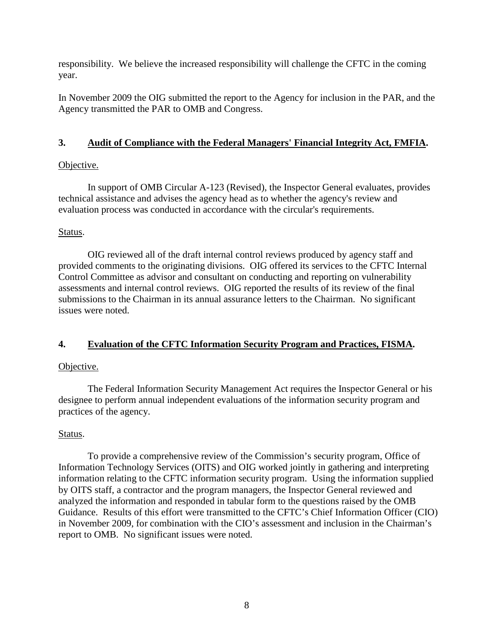responsibility. We believe the increased responsibility will challenge the CFTC in the coming year.

In November 2009 the OIG submitted the report to the Agency for inclusion in the PAR, and the Agency transmitted the PAR to OMB and Congress.

## <span id="page-11-0"></span>**3. Audit of Compliance with the Federal Managers' Financial Integrity Act, FMFIA.**

# Objective.

In support of OMB Circular A-123 (Revised), the Inspector General evaluates, provides technical assistance and advises the agency head as to whether the agency's review and evaluation process was conducted in accordance with the circular's requirements.

# Status.

OIG reviewed all of the draft internal control reviews produced by agency staff and provided comments to the originating divisions. OIG offered its services to the CFTC Internal Control Committee as advisor and consultant on conducting and reporting on vulnerability assessments and internal control reviews. OIG reported the results of its review of the final submissions to the Chairman in its annual assurance letters to the Chairman. No significant issues were noted.

# <span id="page-11-1"></span>**4. Evaluation of the CFTC Information Security Program and Practices, FISMA.**

# Objective.

The Federal Information Security Management Act requires the Inspector General or his designee to perform annual independent evaluations of the information security program and practices of the agency.

# Status.

<span id="page-11-2"></span>To provide a comprehensive review of the Commission's security program, Office of Information Technology Services (OITS) and OIG worked jointly in gathering and interpreting information relating to the CFTC information security program. Using the information supplied by OITS staff, a contractor and the program managers, the Inspector General reviewed and analyzed the information and responded in tabular form to the questions raised by the OMB Guidance. Results of this effort were transmitted to the CFTC's Chief Information Officer (CIO) in November 2009, for combination with the CIO's assessment and inclusion in the Chairman's report to OMB. No significant issues were noted.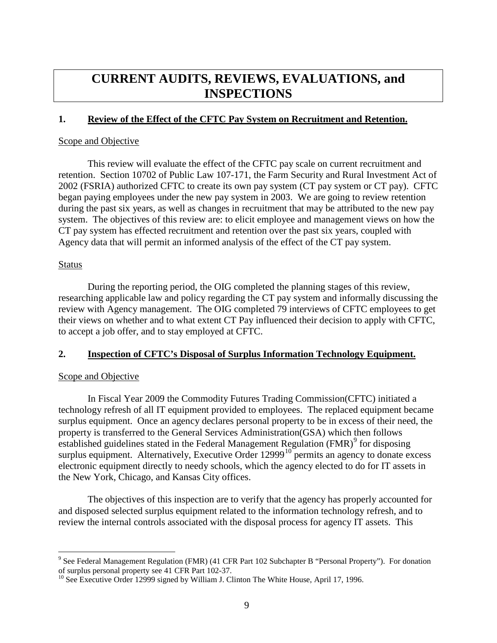# <span id="page-12-1"></span><span id="page-12-0"></span>**CURRENT AUDITS, REVIEWS, EVALUATIONS, and INSPECTIONS**

### **1. Review of the Effect of the CFTC Pay System on Recruitment and Retention.**

### Scope and Objective

This review will evaluate the effect of the CFTC pay scale on current recruitment and retention. Section 10702 of Public Law 107-171, the Farm Security and Rural Investment Act of 2002 (FSRIA) authorized CFTC to create its own pay system (CT pay system or CT pay). CFTC began paying employees under the new pay system in 2003. We are going to review retention during the past six years, as well as changes in recruitment that may be attributed to the new pay system. The objectives of this review are: to elicit employee and management views on how the CT pay system has effected recruitment and retention over the past six years, coupled with Agency data that will permit an informed analysis of the effect of the CT pay system.

#### Status

During the reporting period, the OIG completed the planning stages of this review, researching applicable law and policy regarding the CT pay system and informally discussing the review with Agency management. The OIG completed 79 interviews of CFTC employees to get their views on whether and to what extent CT Pay influenced their decision to apply with CFTC, to accept a job offer, and to stay employed at CFTC.

### <span id="page-12-2"></span>**2. Inspection of CFTC's Disposal of Surplus Information Technology Equipment.**

### Scope and Objective

In Fiscal Year 2009 the Commodity Futures Trading Commission(CFTC) initiated a technology refresh of all IT equipment provided to employees. The replaced equipment became surplus equipment. Once an agency declares personal property to be in excess of their need, the property is transferred to the General Services Administration(GSA) which then follows established guidelines stated in the Federal Management Regulation  $(FMR)^9$  $(FMR)^9$  for disposing surplus equipment. Alternatively, Executive Order  $12999<sup>10</sup>$  $12999<sup>10</sup>$  $12999<sup>10</sup>$  permits an agency to donate excess electronic equipment directly to needy schools, which the agency elected to do for IT assets in the New York, Chicago, and Kansas City offices.

The objectives of this inspection are to verify that the agency has properly accounted for and disposed selected surplus equipment related to the information technology refresh, and to review the internal controls associated with the disposal process for agency IT assets. This

 $9$  See Federal Management Regulation (FMR) (41 CFR Part 102 Subchapter B "Personal Property"). For donation of surplus personal property see 41 CFR Part 102-37.

 $10$  See Executive Order 12999 signed by William J. Clinton The White House, April 17, 1996.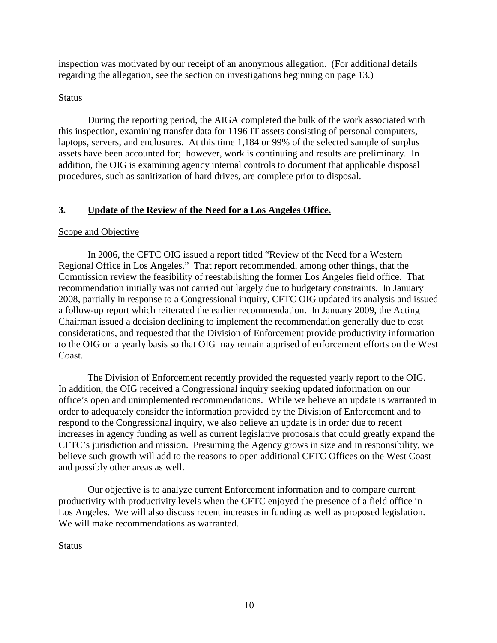inspection was motivated by our receipt of an anonymous allegation. (For additional details regarding the allegation, see the section on investigations beginning on page 13.)

## Status

During the reporting period, the AIGA completed the bulk of the work associated with this inspection, examining transfer data for 1196 IT assets consisting of personal computers, laptops, servers, and enclosures. At this time 1,184 or 99% of the selected sample of surplus assets have been accounted for; however, work is continuing and results are preliminary. In addition, the OIG is examining agency internal controls to document that applicable disposal procedures, such as sanitization of hard drives, are complete prior to disposal.

# <span id="page-13-0"></span>**3. Update of the Review of the Need for a Los Angeles Office.**

## Scope and Objective

In 2006, the CFTC OIG issued a report titled "Review of the Need for a Western Regional Office in Los Angeles." That report recommended, among other things, that the Commission review the feasibility of reestablishing the former Los Angeles field office. That recommendation initially was not carried out largely due to budgetary constraints. In January 2008, partially in response to a Congressional inquiry, CFTC OIG updated its analysis and issued a follow-up report which reiterated the earlier recommendation. In January 2009, the Acting Chairman issued a decision declining to implement the recommendation generally due to cost considerations, and requested that the Division of Enforcement provide productivity information to the OIG on a yearly basis so that OIG may remain apprised of enforcement efforts on the West Coast.

The Division of Enforcement recently provided the requested yearly report to the OIG. In addition, the OIG received a Congressional inquiry seeking updated information on our office's open and unimplemented recommendations. While we believe an update is warranted in order to adequately consider the information provided by the Division of Enforcement and to respond to the Congressional inquiry, we also believe an update is in order due to recent increases in agency funding as well as current legislative proposals that could greatly expand the CFTC's jurisdiction and mission. Presuming the Agency grows in size and in responsibility, we believe such growth will add to the reasons to open additional CFTC Offices on the West Coast and possibly other areas as well.

Our objective is to analyze current Enforcement information and to compare current productivity with productivity levels when the CFTC enjoyed the presence of a field office in Los Angeles. We will also discuss recent increases in funding as well as proposed legislation. We will make recommendations as warranted.

# <span id="page-13-2"></span><span id="page-13-1"></span>Status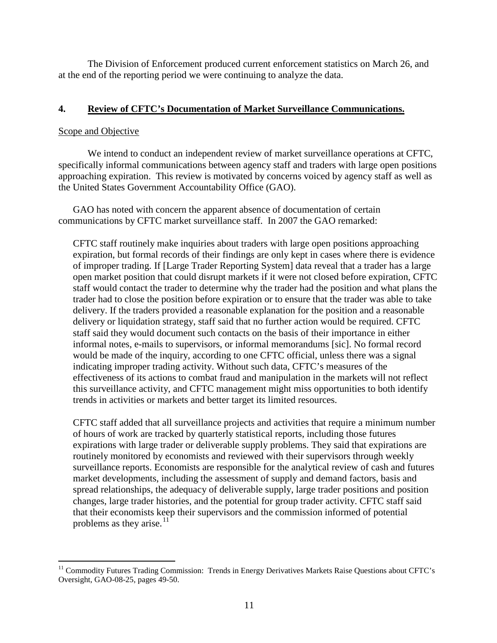The Division of Enforcement produced current enforcement statistics on March 26, and at the end of the reporting period we were continuing to analyze the data.

### <span id="page-14-0"></span>**4. Review of CFTC's Documentation of Market Surveillance Communications.**

### Scope and Objective

We intend to conduct an independent review of market surveillance operations at CFTC, specifically informal communications between agency staff and traders with large open positions approaching expiration. This review is motivated by concerns voiced by agency staff as well as the United States Government Accountability Office (GAO).

GAO has noted with concern the apparent absence of documentation of certain communications by CFTC market surveillance staff. In 2007 the GAO remarked:

CFTC staff routinely make inquiries about traders with large open positions approaching expiration, but formal records of their findings are only kept in cases where there is evidence of improper trading. If [Large Trader Reporting System] data reveal that a trader has a large open market position that could disrupt markets if it were not closed before expiration, CFTC staff would contact the trader to determine why the trader had the position and what plans the trader had to close the position before expiration or to ensure that the trader was able to take delivery. If the traders provided a reasonable explanation for the position and a reasonable delivery or liquidation strategy, staff said that no further action would be required. CFTC staff said they would document such contacts on the basis of their importance in either informal notes, e-mails to supervisors, or informal memorandums [sic]. No formal record would be made of the inquiry, according to one CFTC official, unless there was a signal indicating improper trading activity. Without such data, CFTC's measures of the effectiveness of its actions to combat fraud and manipulation in the markets will not reflect this surveillance activity, and CFTC management might miss opportunities to both identify trends in activities or markets and better target its limited resources.

CFTC staff added that all surveillance projects and activities that require a minimum number of hours of work are tracked by quarterly statistical reports, including those futures expirations with large trader or deliverable supply problems. They said that expirations are routinely monitored by economists and reviewed with their supervisors through weekly surveillance reports. Economists are responsible for the analytical review of cash and futures market developments, including the assessment of supply and demand factors, basis and spread relationships, the adequacy of deliverable supply, large trader positions and position changes, large trader histories, and the potential for group trader activity. CFTC staff said that their economists keep their supervisors and the commission informed of potential problems as they arise.<sup>[11](#page-16-3)</sup>

<sup>&</sup>lt;sup>11</sup> Commodity Futures Trading Commission: Trends in Energy Derivatives Markets Raise Questions about CFTC's Oversight, GAO-08-25, pages 49-50.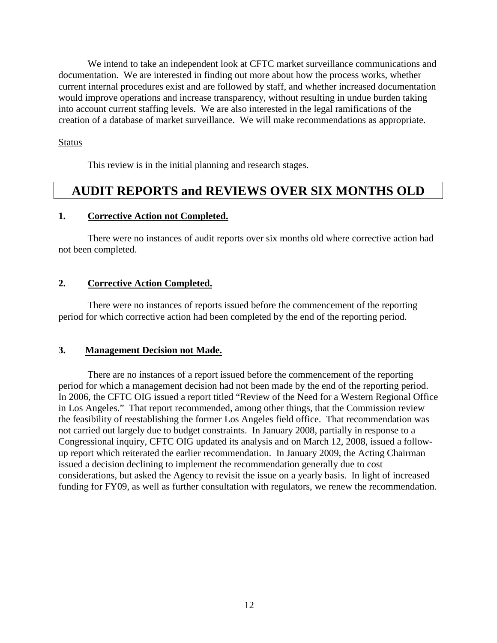We intend to take an independent look at CFTC market surveillance communications and documentation. We are interested in finding out more about how the process works, whether current internal procedures exist and are followed by staff, and whether increased documentation would improve operations and increase transparency, without resulting in undue burden taking into account current staffing levels. We are also interested in the legal ramifications of the creation of a database of market surveillance. We will make recommendations as appropriate.

### Status

<span id="page-15-1"></span><span id="page-15-0"></span>This review is in the initial planning and research stages.

# **AUDIT REPORTS and REVIEWS OVER SIX MONTHS OLD**

#### **1. Corrective Action not Completed.**

There were no instances of audit reports over six months old where corrective action had not been completed.

### <span id="page-15-2"></span>**2. Corrective Action Completed.**

There were no instances of reports issued before the commencement of the reporting period for which corrective action had been completed by the end of the reporting period.

#### <span id="page-15-3"></span>**3. Management Decision not Made.**

There are no instances of a report issued before the commencement of the reporting period for which a management decision had not been made by the end of the reporting period. In 2006, the CFTC OIG issued a report titled "Review of the Need for a Western Regional Office in Los Angeles." That report recommended, among other things, that the Commission review the feasibility of reestablishing the former Los Angeles field office. That recommendation was not carried out largely due to budget constraints. In January 2008, partially in response to a Congressional inquiry, CFTC OIG updated its analysis and on March 12, 2008, issued a followup report which reiterated the earlier recommendation. In January 2009, the Acting Chairman issued a decision declining to implement the recommendation generally due to cost considerations, but asked the Agency to revisit the issue on a yearly basis. In light of increased funding for FY09, as well as further consultation with regulators, we renew the recommendation.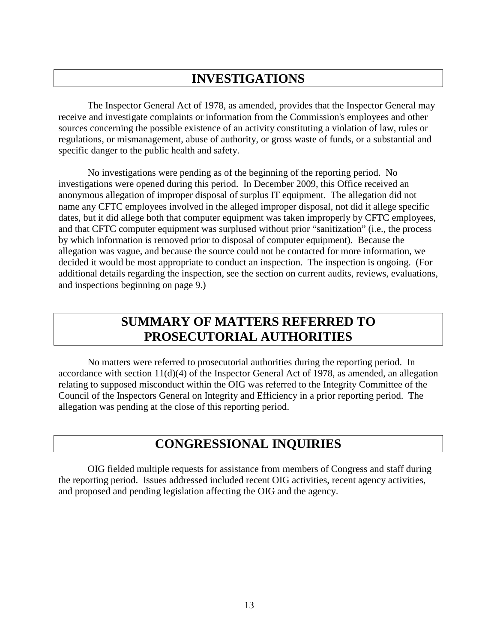# <span id="page-16-0"></span>**INVESTIGATIONS**

The Inspector General Act of 1978, as amended, provides that the Inspector General may receive and investigate complaints or information from the Commission's employees and other sources concerning the possible existence of an activity constituting a violation of law, rules or regulations, or mismanagement, abuse of authority, or gross waste of funds, or a substantial and specific danger to the public health and safety.

No investigations were pending as of the beginning of the reporting period. No investigations were opened during this period. In December 2009, this Office received an anonymous allegation of improper disposal of surplus IT equipment. The allegation did not name any CFTC employees involved in the alleged improper disposal, not did it allege specific dates, but it did allege both that computer equipment was taken improperly by CFTC employees, and that CFTC computer equipment was surplused without prior "sanitization" (i.e., the process by which information is removed prior to disposal of computer equipment). Because the allegation was vague, and because the source could not be contacted for more information, we decided it would be most appropriate to conduct an inspection. The inspection is ongoing. (For additional details regarding the inspection, see the section on current audits, reviews, evaluations, and inspections beginning on page 9.)

# **SUMMARY OF MATTERS REFERRED TO PROSECUTORIAL AUTHORITIES**

No matters were referred to prosecutorial authorities during the reporting period. In accordance with section 11(d)(4) of the Inspector General Act of 1978, as amended, an allegation relating to supposed misconduct within the OIG was referred to the Integrity Committee of the Council of the Inspectors General on Integrity and Efficiency in a prior reporting period. The allegation was pending at the close of this reporting period.

# <span id="page-16-2"></span><span id="page-16-1"></span>**CONGRESSIONAL INQUIRIES**

<span id="page-16-3"></span>OIG fielded multiple requests for assistance from members of Congress and staff during the reporting period. Issues addressed included recent OIG activities, recent agency activities, and proposed and pending legislation affecting the OIG and the agency.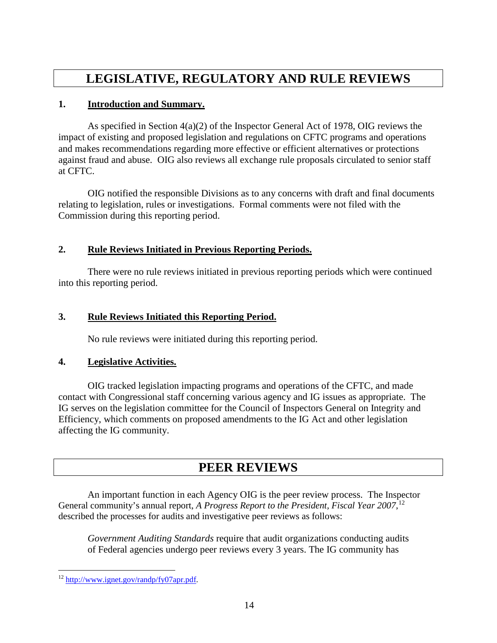# <span id="page-17-1"></span><span id="page-17-0"></span>**LEGISLATIVE, REGULATORY AND RULE REVIEWS**

## **1. Introduction and Summary.**

As specified in Section 4(a)(2) of the Inspector General Act of 1978, OIG reviews the impact of existing and proposed legislation and regulations on CFTC programs and operations and makes recommendations regarding more effective or efficient alternatives or protections against fraud and abuse. OIG also reviews all exchange rule proposals circulated to senior staff at CFTC.

OIG notified the responsible Divisions as to any concerns with draft and final documents relating to legislation, rules or investigations. Formal comments were not filed with the Commission during this reporting period.

## **2. Rule Reviews Initiated in Previous Reporting Periods.**

There were no rule reviews initiated in previous reporting periods which were continued into this reporting period.

## **3. Rule Reviews Initiated this Reporting Period.**

<span id="page-17-4"></span><span id="page-17-2"></span>No rule reviews were initiated during this reporting period.

## **4. Legislative Activities.**

OIG tracked legislation impacting programs and operations of the CFTC, and made contact with Congressional staff concerning various agency and IG issues as appropriate. The IG serves on the legislation committee for the Council of Inspectors General on Integrity and Efficiency, which comments on proposed amendments to the IG Act and other legislation affecting the IG community.

# <span id="page-17-5"></span><span id="page-17-3"></span>**PEER REVIEWS**

An important function in each Agency OIG is the peer review process. The Inspector General community's annual report, *A Progress Report to the President, Fiscal Year 2007*, [12](#page-20-1) described the processes for audits and investigative peer reviews as follows:

*Government Auditing Standards* require that audit organizations conducting audits of Federal agencies undergo peer reviews every 3 years. The IG community has

 <sup>12</sup> [http://www.ignet.gov/randp/fy07apr.pdf.](http://www.ignet.gov/randp/fy07apr.pdf)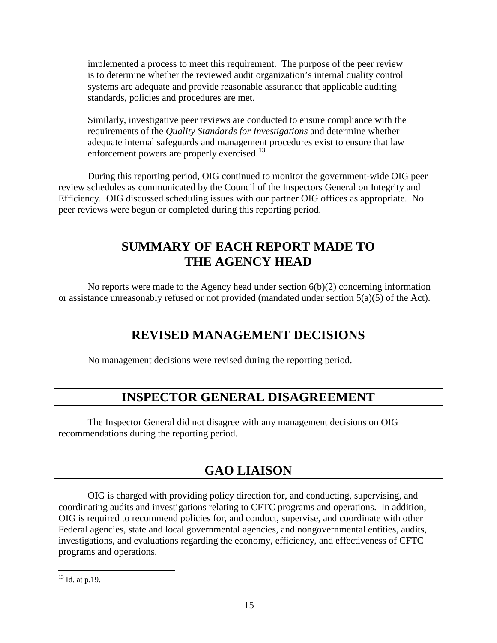implemented a process to meet this requirement. The purpose of the peer review is to determine whether the reviewed audit organization's internal quality control systems are adequate and provide reasonable assurance that applicable auditing standards, policies and procedures are met.

Similarly, investigative peer reviews are conducted to ensure compliance with the requirements of the *Quality Standards for Investigations* and determine whether adequate internal safeguards and management procedures exist to ensure that law enforcement powers are properly exercised.<sup>[13](#page-20-2)</sup>

During this reporting period, OIG continued to monitor the government-wide OIG peer review schedules as communicated by the Council of the Inspectors General on Integrity and Efficiency. OIG discussed scheduling issues with our partner OIG offices as appropriate. No peer reviews were begun or completed during this reporting period.

# <span id="page-18-0"></span>**SUMMARY OF EACH REPORT MADE TO THE AGENCY HEAD**

No reports were made to the Agency head under section  $6(b)(2)$  concerning information or assistance unreasonably refused or not provided (mandated under section 5(a)(5) of the Act).

# **REVISED MANAGEMENT DECISIONS**

No management decisions were revised during the reporting period.

# **INSPECTOR GENERAL DISAGREEMENT**

The Inspector General did not disagree with any management decisions on OIG recommendations during the reporting period.

# <span id="page-18-3"></span><span id="page-18-2"></span><span id="page-18-1"></span>**GAO LIAISON**

OIG is charged with providing policy direction for, and conducting, supervising, and coordinating audits and investigations relating to CFTC programs and operations. In addition, OIG is required to recommend policies for, and conduct, supervise, and coordinate with other Federal agencies, state and local governmental agencies, and nongovernmental entities, audits, investigations, and evaluations regarding the economy, efficiency, and effectiveness of CFTC programs and operations.

 $13$  Id. at p.19.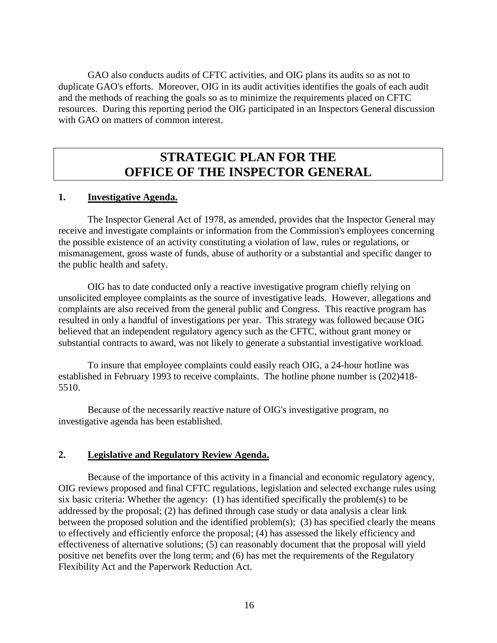GAO also conducts audits of CFTC activities, and OIG plans its audits so as not to duplicate GAO's efforts. Moreover, OIG in its audit activities identifies the goals of each audit and the methods of reaching the goals so as to minimize the requirements placed on CFTC resources. During this reporting period the OIG participated in an Inspectors General discussion with GAO on matters of common interest.

# <span id="page-19-1"></span><span id="page-19-0"></span>**STRATEGIC PLAN FOR THE OFFICE OF THE INSPECTOR GENERAL**

#### **1. Investigative Agenda.**

The Inspector General Act of 1978, as amended, provides that the Inspector General may receive and investigate complaints or information from the Commission's employees concerning the possible existence of an activity constituting a violation of law, rules or regulations, or mismanagement, gross waste of funds, abuse of authority or a substantial and specific danger to the public health and safety.

OIG has to date conducted only a reactive investigative program chiefly relying on unsolicited employee complaints as the source of investigative leads. However, allegations and complaints are also received from the general public and Congress. This reactive program has resulted in only a handful of investigations per year. This strategy was followed because OIG believed that an independent regulatory agency such as the CFTC, without grant money or substantial contracts to award, was not likely to generate a substantial investigative workload.

To insure that employee complaints could easily reach OIG, a 24-hour hotline was established in February 1993 to receive complaints. The hotline phone number is (202)418- 5510.

Because of the necessarily reactive nature of OIG's investigative program, no investigative agenda has been established.

### <span id="page-19-2"></span>**2. Legislative and Regulatory Review Agenda.**

Because of the importance of this activity in a financial and economic regulatory agency, OIG reviews proposed and final CFTC regulations, legislation and selected exchange rules using six basic criteria: Whether the agency: (1) has identified specifically the problem(s) to be addressed by the proposal; (2) has defined through case study or data analysis a clear link between the proposed solution and the identified problem(s); (3) has specified clearly the means to effectively and efficiently enforce the proposal; (4) has assessed the likely efficiency and effectiveness of alternative solutions; (5) can reasonably document that the proposal will yield positive net benefits over the long term; and (6) has met the requirements of the Regulatory Flexibility Act and the Paperwork Reduction Act.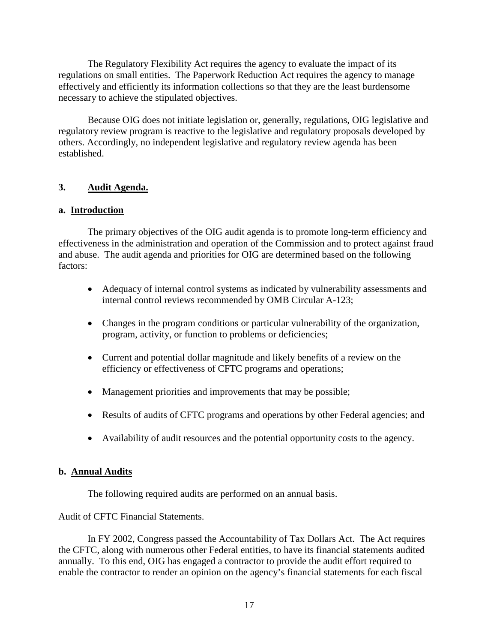The Regulatory Flexibility Act requires the agency to evaluate the impact of its regulations on small entities. The Paperwork Reduction Act requires the agency to manage effectively and efficiently its information collections so that they are the least burdensome necessary to achieve the stipulated objectives.

Because OIG does not initiate legislation or, generally, regulations, OIG legislative and regulatory review program is reactive to the legislative and regulatory proposals developed by others. Accordingly, no independent legislative and regulatory review agenda has been established.

## <span id="page-20-0"></span>**3. Audit Agenda.**

### **a. Introduction**

The primary objectives of the OIG audit agenda is to promote long-term efficiency and effectiveness in the administration and operation of the Commission and to protect against fraud and abuse. The audit agenda and priorities for OIG are determined based on the following factors:

- Adequacy of internal control systems as indicated by vulnerability assessments and internal control reviews recommended by OMB Circular A-123;
- Changes in the program conditions or particular vulnerability of the organization, program, activity, or function to problems or deficiencies;
- Current and potential dollar magnitude and likely benefits of a review on the efficiency or effectiveness of CFTC programs and operations;
- Management priorities and improvements that may be possible;
- Results of audits of CFTC programs and operations by other Federal agencies; and
- Availability of audit resources and the potential opportunity costs to the agency.

## **b. Annual Audits**

The following required audits are performed on an annual basis.

### Audit of CFTC Financial Statements.

<span id="page-20-2"></span><span id="page-20-1"></span>In FY 2002, Congress passed the Accountability of Tax Dollars Act. The Act requires the CFTC, along with numerous other Federal entities, to have its financial statements audited annually. To this end, OIG has engaged a contractor to provide the audit effort required to enable the contractor to render an opinion on the agency's financial statements for each fiscal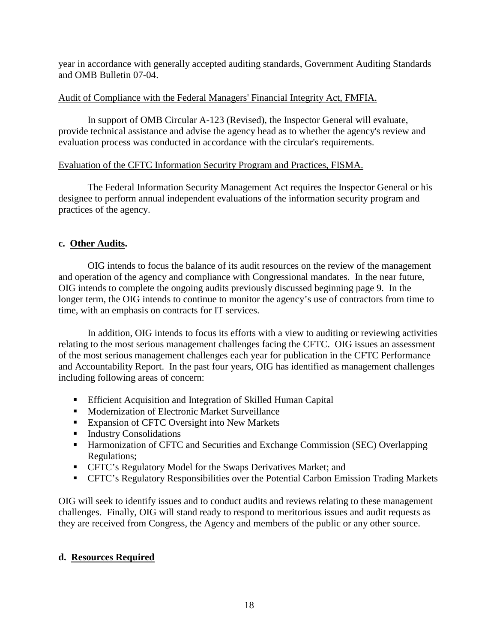year in accordance with generally accepted auditing standards, Government Auditing Standards and OMB Bulletin 07-04.

## Audit of Compliance with the Federal Managers' Financial Integrity Act, FMFIA.

In support of OMB Circular A-123 (Revised), the Inspector General will evaluate, provide technical assistance and advise the agency head as to whether the agency's review and evaluation process was conducted in accordance with the circular's requirements.

## Evaluation of the CFTC Information Security Program and Practices, FISMA.

The Federal Information Security Management Act requires the Inspector General or his designee to perform annual independent evaluations of the information security program and practices of the agency.

# **c. Other Audits.**

OIG intends to focus the balance of its audit resources on the review of the management and operation of the agency and compliance with Congressional mandates. In the near future, OIG intends to complete the ongoing audits previously discussed beginning page 9. In the longer term, the OIG intends to continue to monitor the agency's use of contractors from time to time, with an emphasis on contracts for IT services.

In addition, OIG intends to focus its efforts with a view to auditing or reviewing activities relating to the most serious management challenges facing the CFTC. OIG issues an assessment of the most serious management challenges each year for publication in the CFTC Performance and Accountability Report. In the past four years, OIG has identified as management challenges including following areas of concern:

- **Efficient Acquisition and Integration of Skilled Human Capital**
- **Modernization of Electronic Market Surveillance**
- **Expansion of CFTC Oversight into New Markets**
- **Industry Consolidations**
- Harmonization of CFTC and Securities and Exchange Commission (SEC) Overlapping Regulations;
- CFTC's Regulatory Model for the Swaps Derivatives Market; and
- CFTC's Regulatory Responsibilities over the Potential Carbon Emission Trading Markets

OIG will seek to identify issues and to conduct audits and reviews relating to these management challenges. Finally, OIG will stand ready to respond to meritorious issues and audit requests as they are received from Congress, the Agency and members of the public or any other source.

## **d. Resources Required**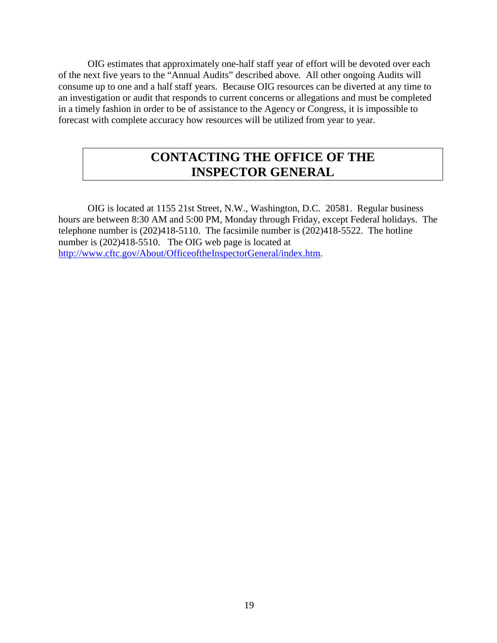OIG estimates that approximately one-half staff year of effort will be devoted over each of the next five years to the "Annual Audits" described above. All other ongoing Audits will consume up to one and a half staff years. Because OIG resources can be diverted at any time to an investigation or audit that responds to current concerns or allegations and must be completed in a timely fashion in order to be of assistance to the Agency or Congress, it is impossible to forecast with complete accuracy how resources will be utilized from year to year.

# <span id="page-22-0"></span>**CONTACTING THE OFFICE OF THE INSPECTOR GENERAL**

OIG is located at 1155 21st Street, N.W., Washington, D.C. 20581. Regular business hours are between 8:30 AM and 5:00 PM, Monday through Friday, except Federal holidays. The telephone number is (202)418-5110. The facsimile number is (202)418-5522. The hotline number is  $(202)418-5510$ . The OIG web page is located at [http://www.cftc.gov/About/OfficeoftheInspectorGeneral/index.htm.](http://www.cftc.gov/About/OfficeoftheInspectorGeneral/index.htm)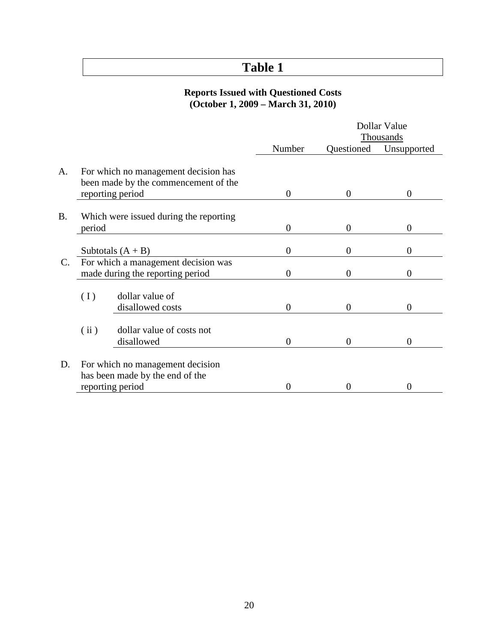# <span id="page-23-0"></span>**Table 1**

### **Reports Issued with Questioned Costs (October 1, 2009 – March 31, 2010)**

|                |                                  |                                        | Dollar Value     |                |                   |
|----------------|----------------------------------|----------------------------------------|------------------|----------------|-------------------|
|                |                                  |                                        |                  | Thousands      |                   |
|                |                                  |                                        | Number           | Questioned     | Unsupported       |
|                |                                  |                                        |                  |                |                   |
| A.             |                                  | For which no management decision has   |                  |                |                   |
|                |                                  | been made by the commencement of the   |                  |                |                   |
|                |                                  | reporting period                       | $\overline{0}$   | $\overline{0}$ | $\boldsymbol{0}$  |
| <b>B.</b>      |                                  | Which were issued during the reporting |                  |                |                   |
|                |                                  |                                        | $\boldsymbol{0}$ | $\theta$       | $\overline{0}$    |
|                | period                           |                                        |                  |                |                   |
|                |                                  | Subtotals $(A + B)$                    | $\overline{0}$   | $\theta$       | 0                 |
| $\mathbf{C}$ . |                                  | For which a management decision was    |                  |                |                   |
|                | made during the reporting period |                                        | $\boldsymbol{0}$ | $\theta$       | 0                 |
|                |                                  |                                        |                  |                |                   |
|                | (I)                              | dollar value of                        |                  |                |                   |
|                |                                  | disallowed costs                       | $\overline{0}$   | $\theta$       | $\Omega$          |
|                |                                  |                                        |                  |                |                   |
|                | (ii)                             | dollar value of costs not              |                  |                |                   |
|                |                                  | disallowed                             | $\overline{0}$   | $\overline{0}$ | $\overline{0}$    |
| D.             |                                  | For which no management decision       |                  |                |                   |
|                |                                  |                                        |                  |                |                   |
|                |                                  | has been made by the end of the        |                  |                |                   |
|                | reporting period                 |                                        | $\Omega$         | $\Omega$       | $\mathbf{\Omega}$ |